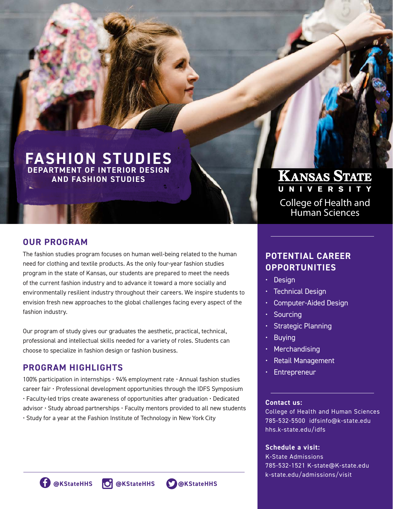## **FASHION STUDIES DEPARTMENT OF INTERIOR DESIGN AND FASHION STUDIES**

## **OUR PROGRAM**

The fashion studies program focuses on human well-being related to the human need for clothing and textile products. As the only four-year fashion studies program in the state of Kansas, our students are prepared to meet the needs of the current fashion industry and to advance it toward a more socially and environmentally resilient industry throughout their careers. We inspire students to envision fresh new approaches to the global challenges facing every aspect of the fashion industry.

Our program of study gives our graduates the aesthetic, practical, technical, professional and intellectual skills needed for a variety of roles. Students can choose to specialize in fashion design or fashion business.

## **PROGRAM HIGHLIGHTS**

100% participation in internships • 94% employment rate *•* Annual fashion studies career fair • Professional development opportunities through the IDFS Symposium • Faculty-led trips create awareness of opportunities after graduation • Dedicated advisor • Study abroad partnerships • Faculty mentors provided to all new students • Study for a year at the Fashion Institute of Technology in New York City

## KANSAS STATE College of Health and Human Sciences

## **POTENTIAL CAREER OPPORTUNITIES**

- Design
- Technical Design
- Computer-Aided Design
- Sourcing
- Strategic Planning
- Buying
- **Merchandising**
- Retail Management
- **Entrepreneur**

## **Contact us:**

College of Health and Human Sciences 785-532-5500 idfsinfo@k-state.edu hhs.k-state.edu/idfs

## **Schedule a visit:**

K-State Admissions 785-532-1521 K-state@K-state.edu k-state.edu/admissions/visit